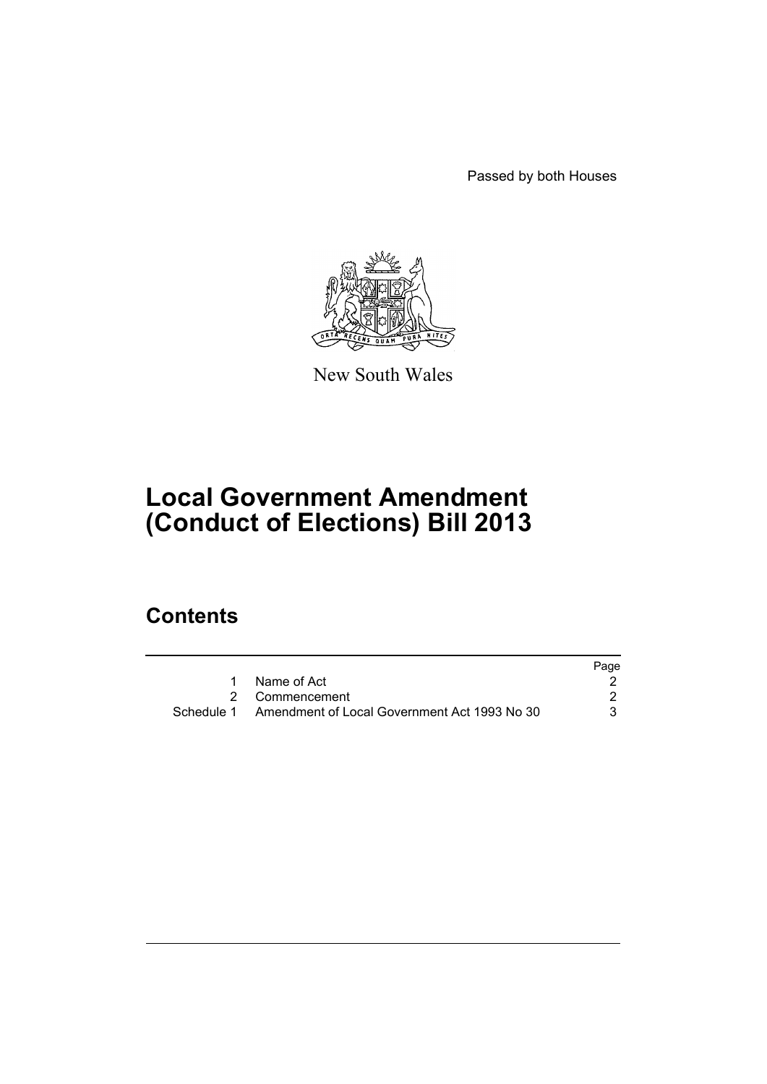Passed by both Houses



New South Wales

## **Local Government Amendment (Conduct of Elections) Bill 2013**

## **Contents**

|                                                         | Page |
|---------------------------------------------------------|------|
| Name of Act                                             |      |
| 2 Commencement                                          |      |
| Schedule 1 Amendment of Local Government Act 1993 No 30 |      |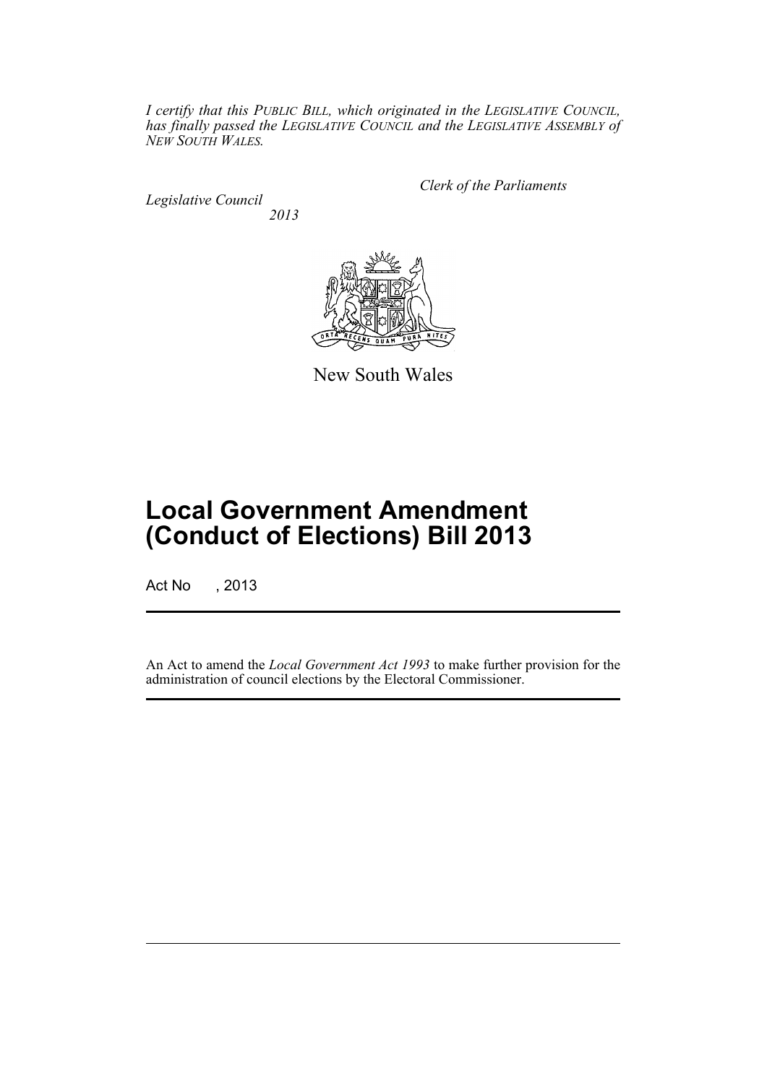*I certify that this PUBLIC BILL, which originated in the LEGISLATIVE COUNCIL, has finally passed the LEGISLATIVE COUNCIL and the LEGISLATIVE ASSEMBLY of NEW SOUTH WALES.*

*Legislative Council 2013* *Clerk of the Parliaments*



New South Wales

# **Local Government Amendment (Conduct of Elections) Bill 2013**

Act No , 2013

An Act to amend the *Local Government Act 1993* to make further provision for the administration of council elections by the Electoral Commissioner.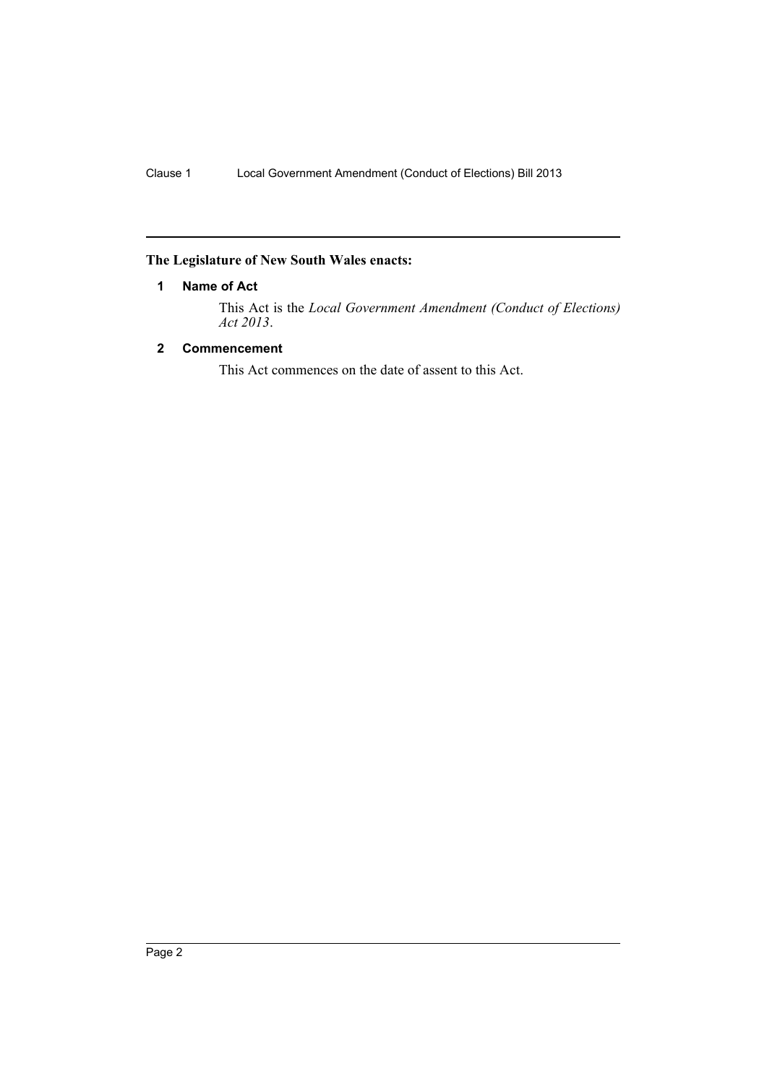## <span id="page-3-0"></span>**The Legislature of New South Wales enacts:**

### **1 Name of Act**

This Act is the *Local Government Amendment (Conduct of Elections) Act 2013*.

### <span id="page-3-1"></span>**2 Commencement**

This Act commences on the date of assent to this Act.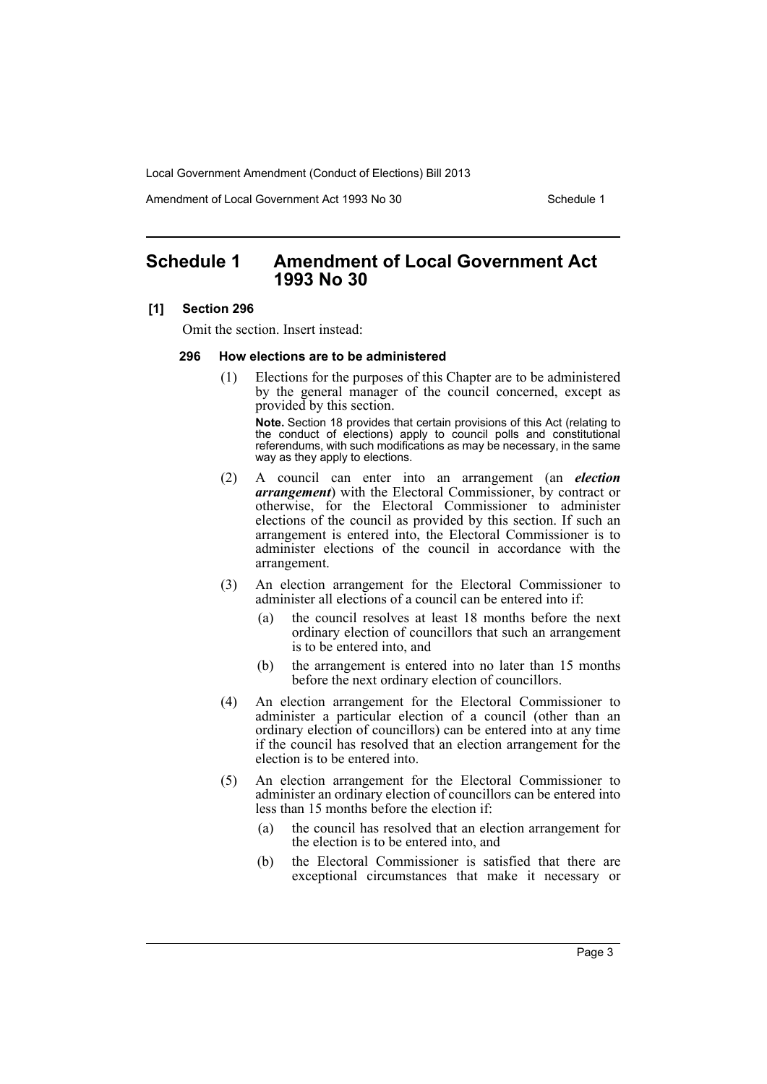Local Government Amendment (Conduct of Elections) Bill 2013

Amendment of Local Government Act 1993 No 30 Schedule 1

## <span id="page-4-0"></span>**Schedule 1 Amendment of Local Government Act 1993 No 30**

#### **[1] Section 296**

Omit the section. Insert instead:

#### **296 How elections are to be administered**

(1) Elections for the purposes of this Chapter are to be administered by the general manager of the council concerned, except as provided by this section.

**Note.** Section 18 provides that certain provisions of this Act (relating to the conduct of elections) apply to council polls and constitutional referendums, with such modifications as may be necessary, in the same way as they apply to elections.

- (2) A council can enter into an arrangement (an *election arrangement*) with the Electoral Commissioner, by contract or otherwise, for the Electoral Commissioner to administer elections of the council as provided by this section. If such an arrangement is entered into, the Electoral Commissioner is to administer elections of the council in accordance with the arrangement.
- (3) An election arrangement for the Electoral Commissioner to administer all elections of a council can be entered into if:
	- (a) the council resolves at least 18 months before the next ordinary election of councillors that such an arrangement is to be entered into, and
	- (b) the arrangement is entered into no later than 15 months before the next ordinary election of councillors.
- (4) An election arrangement for the Electoral Commissioner to administer a particular election of a council (other than an ordinary election of councillors) can be entered into at any time if the council has resolved that an election arrangement for the election is to be entered into.
- (5) An election arrangement for the Electoral Commissioner to administer an ordinary election of councillors can be entered into less than 15 months before the election if:
	- (a) the council has resolved that an election arrangement for the election is to be entered into, and
	- (b) the Electoral Commissioner is satisfied that there are exceptional circumstances that make it necessary or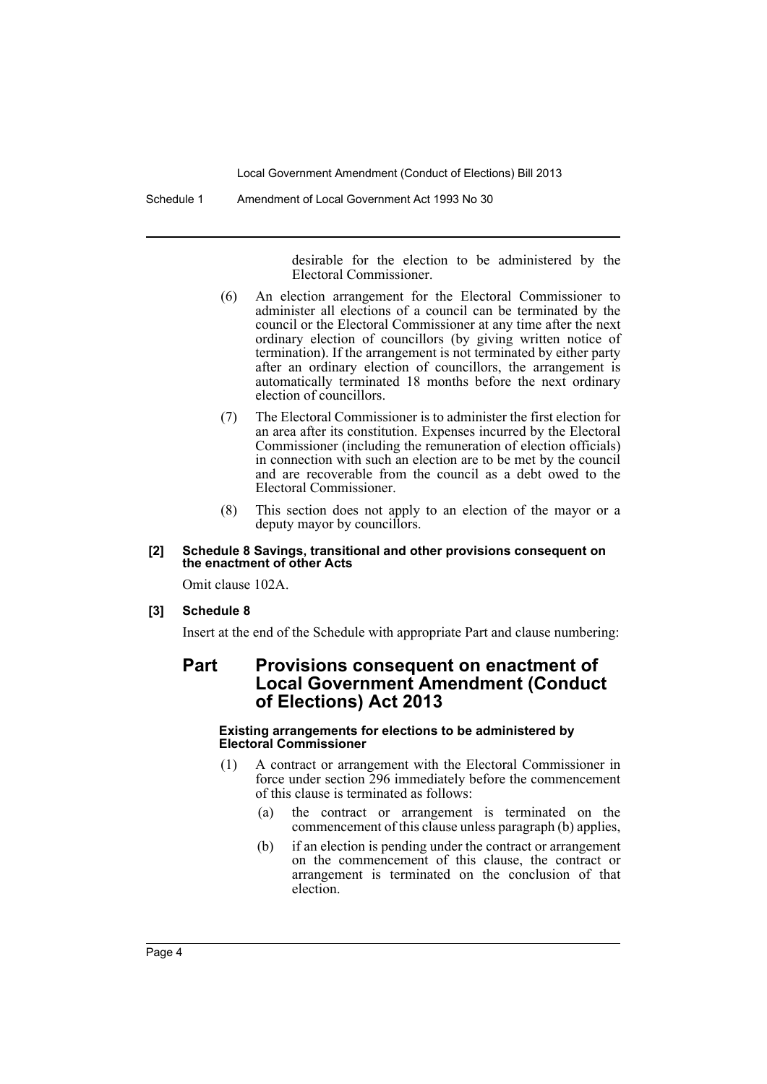Local Government Amendment (Conduct of Elections) Bill 2013

Schedule 1 Amendment of Local Government Act 1993 No 30

desirable for the election to be administered by the Electoral Commissioner.

- (6) An election arrangement for the Electoral Commissioner to administer all elections of a council can be terminated by the council or the Electoral Commissioner at any time after the next ordinary election of councillors (by giving written notice of termination). If the arrangement is not terminated by either party after an ordinary election of councillors, the arrangement is automatically terminated 18 months before the next ordinary election of councillors.
- (7) The Electoral Commissioner is to administer the first election for an area after its constitution. Expenses incurred by the Electoral Commissioner (including the remuneration of election officials) in connection with such an election are to be met by the council and are recoverable from the council as a debt owed to the Electoral Commissioner.
- (8) This section does not apply to an election of the mayor or a deputy mayor by councillors.

#### **[2] Schedule 8 Savings, transitional and other provisions consequent on the enactment of other Acts**

Omit clause 102A.

#### **[3] Schedule 8**

Insert at the end of the Schedule with appropriate Part and clause numbering:

## **Part Provisions consequent on enactment of Local Government Amendment (Conduct of Elections) Act 2013**

#### **Existing arrangements for elections to be administered by Electoral Commissioner**

- (1) A contract or arrangement with the Electoral Commissioner in force under section 296 immediately before the commencement of this clause is terminated as follows:
	- (a) the contract or arrangement is terminated on the commencement of this clause unless paragraph (b) applies,
	- (b) if an election is pending under the contract or arrangement on the commencement of this clause, the contract or arrangement is terminated on the conclusion of that election.